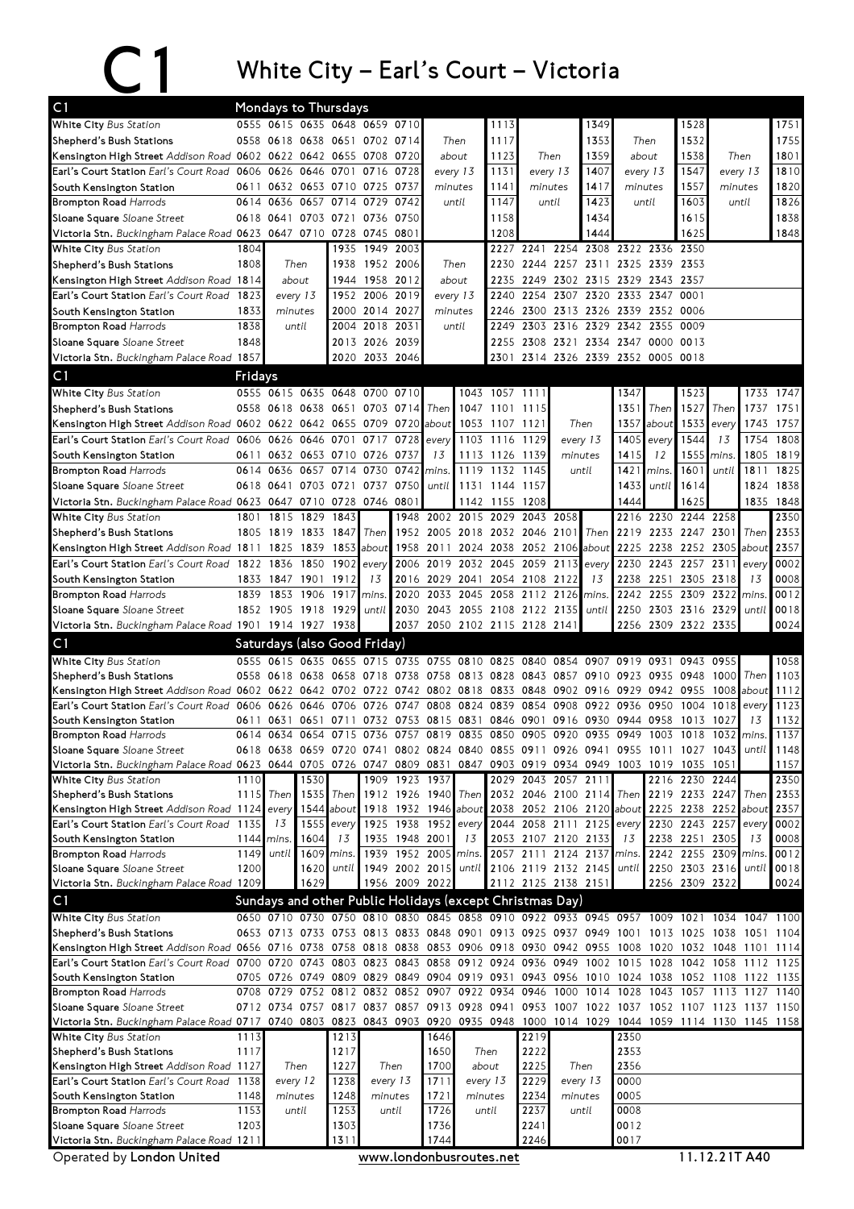## C1 White City – Earl's Court – Victoria

| C <sub>1</sub>                                                                                  |              |                                  |           | <b>Mondays to Thursdays</b>   |                |                |                                                                                                   |          |                                    |                     |                |                |                                              |          |                                        |              |             |              |
|-------------------------------------------------------------------------------------------------|--------------|----------------------------------|-----------|-------------------------------|----------------|----------------|---------------------------------------------------------------------------------------------------|----------|------------------------------------|---------------------|----------------|----------------|----------------------------------------------|----------|----------------------------------------|--------------|-------------|--------------|
| White City Bus Station                                                                          |              |                                  |           | 0555 0615 0635 0648 0659 0710 |                |                |                                                                                                   |          | 1113                               |                     |                | 1349           |                                              |          | 1528                                   |              |             | 1751         |
| Shepherd's Bush Stations                                                                        |              |                                  |           | 0558 0618 0638 0651 0702 0714 |                |                |                                                                                                   | Then     | 1117                               |                     |                | 1353           | Then                                         |          | 1532                                   |              |             | 1755         |
| Kensington High Street Addison Road 0602 0622 0642 0655 0708 0720                               |              |                                  |           |                               |                |                | about                                                                                             |          | 1123                               | Then                |                | 1359           | about                                        |          | 1538                                   | Then         |             | 1801         |
| Earl's Court Station Earl's Court Road 0606 0626 0646 0701 0716                                 |              |                                  |           |                               |                | 0728           |                                                                                                   | every 13 | 1131                               | every 13            |                | 1407           |                                              | every 13 | 1547                                   | every 13     |             | 1810         |
| South Kensington Station                                                                        |              |                                  |           | 0611 0632 0653 0710 0725      |                | 0737           | minutes                                                                                           |          | 1141                               | minutes             |                | 1417           | minutes                                      |          | 1557                                   | minutes      |             | 1820         |
| <b>Brompton Road Harrods</b>                                                                    |              | 0614 0636                        | 0657      | 0714                          | 0729           | 0742           |                                                                                                   | until    | 1147                               | until               |                | 1423           |                                              | until    | 1603                                   | until        |             | 1826         |
| Sloane Square Sloane Street                                                                     |              |                                  |           | 0618 0641 0703 0721 0736      |                | 0750           |                                                                                                   |          | 1158                               |                     |                | 1434           |                                              |          | 1615                                   |              |             | 1838         |
| Victoria Stn. Buckingham Palace Road 0623 0647 0710 0728                                        |              |                                  |           |                               | 0745           | 0801           |                                                                                                   |          | 1208                               |                     |                | 1444           |                                              |          | 1625                                   |              |             | 1848         |
| White City Bus Station                                                                          | 1804         |                                  |           | 1935                          | 1949           | 2003           |                                                                                                   |          | 2227                               |                     |                |                | 2241 2254 2308 2322 2336 2350                |          |                                        |              |             |              |
| Shepherd's Bush Stations                                                                        | 1808         |                                  | Then      | 1938                          | 1952 2006      |                |                                                                                                   | Then     | 2230                               |                     |                |                | 2244 2257 2311 2325 2339 2353                |          |                                        |              |             |              |
| Kensington High Street Addison Road 1814                                                        |              | about                            |           |                               | 1944 1958 2012 |                | about                                                                                             |          | 2235                               |                     |                |                | 2249 2302 2315 2329 2343 2357                |          |                                        |              |             |              |
| Earl's Court Station Earl's Court Road                                                          | 1823         |                                  | every 13  |                               | 1952 2006 2019 |                | every 13                                                                                          |          | 2240                               | 2254                |                | 2307 2320      | 2333 2347                                    |          | 0001                                   |              |             |              |
| South Kensington Station                                                                        | 1833         | minutes                          |           |                               | 2000 2014 2027 |                | minutes                                                                                           |          | 2246                               |                     |                |                | 2300 2313 2326 2339 2352 0006                |          |                                        |              |             |              |
| <b>Brompton Road Harrods</b>                                                                    | 1838         | until                            |           |                               | 2004 2018 2031 |                |                                                                                                   | until    | 2249                               |                     |                |                | 2303 2316 2329 2342 2355 0009                |          |                                        |              |             |              |
| Sloane Square Sloane Street                                                                     | 1848         |                                  |           |                               | 2013 2026 2039 |                |                                                                                                   |          | 2255                               |                     |                |                | 2308 2321 2334 2347 0000 0013                |          |                                        |              |             |              |
| Victoria Stn. Buckingham Palace Road 1857                                                       |              |                                  |           | 2020                          | 2033 2046      |                |                                                                                                   |          | 2301                               |                     |                |                | 2314 2326 2339 2352 0005 0018                |          |                                        |              |             |              |
| C <sub>1</sub>                                                                                  | Fridays      |                                  |           |                               |                |                |                                                                                                   |          |                                    |                     |                |                |                                              |          |                                        |              |             |              |
| White City Bus Station                                                                          |              |                                  |           | 0555 0615 0635 0648 0700 0710 |                |                |                                                                                                   |          | 1043 1057 1111                     |                     |                |                | 1347                                         |          | 1523                                   |              | 1733        | 1747         |
| Shepherd's Bush Stations                                                                        |              |                                  |           | 0558 0618 0638 0651 0703 0714 |                |                | Then                                                                                              |          | 1047 1101 1115                     |                     |                |                | 1351                                         | Then     | 1527                                   | Then         | 1737        | 1751         |
| Kensington High Street Addison Road 0602 0622 0642 0655 0709 0720                               |              |                                  |           |                               |                |                | about                                                                                             |          | 1053 1107 1121                     |                     |                | Then           | 1357                                         | about    | 1533                                   | every        | 1743        | 1757         |
| Earl's Court Station Earl's Court Road 0606 0626 0646 0701 0717                                 |              |                                  |           |                               |                | 0728           | every                                                                                             |          | 1103 1116 1129                     |                     |                | every 13       | 1405                                         | every    | 1544                                   | 13           | 1754        | 1808         |
| South Kensington Station                                                                        | 0611         | 0632 0653 0710                   |           |                               | 0726           | 0737           | 13                                                                                                |          | 1113 1126 1139                     |                     |                | minutes        | 1415                                         | 12       | 1555                                   | mins.        | 1805        | 1819         |
| <b>Brompton Road Harrods</b>                                                                    |              | 0614 0636                        | 0657      | 0714                          | 0730           | 0742           | mins.                                                                                             | 1119     | 1132                               | 1145                |                | until          | 1421                                         | mins.    | 1601                                   | until        | 1811        | 1825         |
| Sloane Square Sloane Street                                                                     |              |                                  |           | 0618 0641 0703 0721 0737      |                | 0750           | until                                                                                             |          | 1131 1144 1157                     |                     |                |                | 1433                                         | until    | 1614                                   |              |             | 1824 1838    |
| Victoria Stn. Buckingham Palace Road 0623 0647 0710 0728 0746 0801                              |              |                                  |           |                               |                |                |                                                                                                   |          | 1142 1155 1208                     |                     |                |                | 1444                                         |          | 1625                                   |              |             | 1835 1848    |
| White City Bus Station                                                                          | 1801         |                                  | 1815 1829 | 1843                          |                |                | 1948 2002 2015 2029                                                                               |          |                                    | 2043 2058           |                |                | 2216                                         |          | 2230 2244 2258                         |              |             | 2350         |
| Shepherd's Bush Stations                                                                        | 1805         | 1819 1833                        |           | 1847                          | Then           |                | 1952 2005 2018 2032 2046 2101                                                                     |          |                                    |                     |                |                | Then 2219                                    |          | 2233 2247 2301                         |              | Then        | 2353         |
| Kensington High Street Addison Road 1811<br>Earl's Court Station Earl's Court Road              |              | 1825                             | 1839      | 1902                          | 1853 about     | 1958           | 2006 2019 2032 2045 2059 2113                                                                     |          | 2011 2024 2038 2052 2106 about     |                     |                |                | 2225<br>2230                                 |          | 2238 2252 2305 about<br>2243 2257 2311 |              |             | 2357<br>0002 |
|                                                                                                 |              | 1822 1836<br>1833 1847 1901 1912 | 1850      |                               | every<br>13    |                | 2016 2029 2041 2054 2108 2122                                                                     |          |                                    |                     |                | every<br>13    |                                              |          | 2238 2251 2305 2318                    |              | every<br>13 | 0008         |
| South Kensington Station<br><b>Brompton Road Harrods</b>                                        | 1839         |                                  | 1853 1906 | 1917                          | mins.          | 2020           | 2033 2045                                                                                         |          | 2058 2112 2126                     |                     |                | mins.          |                                              |          | 2242 2255 2309 2322                    |              | mins        | 0012         |
| Sloane Square Sloane Street                                                                     |              | 1852 1905 1918                   |           | 1929                          | until          | 2030           |                                                                                                   |          | 2043 2055 2108 2122 2135           |                     |                | until          |                                              |          | 2250 2303 2316 2329                    |              | until       | 0018         |
| Victoria Stn. Buckingham Palace Road 1901 1914 1927 1938                                        |              |                                  |           |                               |                |                | 2037 2050 2102 2115 2128 2141                                                                     |          |                                    |                     |                |                |                                              |          | 2256 2309 2322 2335                    |              |             | 0024         |
|                                                                                                 |              |                                  |           |                               |                |                |                                                                                                   |          |                                    |                     |                |                |                                              |          |                                        |              |             |              |
| C <sub>1</sub>                                                                                  |              | 0555 0615 0635 0655              |           | Saturdays (also Good Friday)  |                |                |                                                                                                   |          |                                    |                     |                |                |                                              |          |                                        |              |             |              |
| White City Bus Station<br>Shepherd's Bush Stations                                              |              |                                  |           |                               | 0715 0735      |                | 0755 0810 0825 0840<br>0558 0618 0638 0658 0718 0738 0758 0813 0828 0843 0857 0910 0923 0935 0948 |          |                                    |                     | 0854           | 0907           | 0919                                         | 0931     | 0943                                   | 0955<br>1000 | Then        | 1058<br>1103 |
| Kensington High Street Addison Road 0602 0622 0642 0702 0722 0742 0802 0818                     |              |                                  |           |                               |                |                |                                                                                                   |          | 0833 0848 0902 0916 0929 0942 0955 |                     |                |                |                                              |          |                                        | 1008 about   |             | 1112         |
| Earl's Court Station Earl's Court Road 0606                                                     |              | 0626                             | 0646      | 0706                          | 0726           | 0747           | 0808                                                                                              | 0824     | 0839                               | 0854                | 0908           | 0922           | 0936                                         | 0950     | 1004                                   | 1018         | every       | 1123         |
| South Kensington Station                                                                        | 0611         | 0631                             |           | 0651 0711                     |                |                | 0732 0753 0815 0831                                                                               |          |                                    |                     |                |                | 0846 0901 0916 0930 0944 0958 1013           |          |                                        | 1027         | 13          | 1132         |
| <b>Brompton Road Harrods</b>                                                                    |              | 0614 0634                        |           | 0654 0715                     |                |                | 0736 0757 0819 0835                                                                               |          | 0850 0905 0920 0935                |                     |                |                | 0949                                         | 1003     | 1018                                   |              | 1032 mins.  | 1137         |
| Sloane Square Sloane Street                                                                     |              |                                  |           |                               |                |                | 0618 0638 0659 0720 0741 0802 0824 0840 0855 0911 0926 0941 0955 1011 1027 1043                   |          |                                    |                     |                |                |                                              |          |                                        |              | until       | 1148         |
| Victoria Stn. Buckingham Palace Road 0623 0644 0705 0726                                        |              |                                  |           |                               |                | 0747 0809 0831 |                                                                                                   | 0847     | 0903 0919 0934 0949                |                     |                |                | 1003 1019 1035 1051                          |          |                                        |              |             | 1157         |
| White City Bus Station                                                                          | 1110         |                                  | 1530      |                               |                | 1909 1923 1937 |                                                                                                   |          |                                    | 2029 2043 2057 2111 |                |                |                                              |          | 2216 2230 2244                         |              |             | 2350         |
| Shepherd's Bush Stations                                                                        | 1115         | Then                             | 1535      | Then                          |                |                | 1912 1926 1940                                                                                    |          | Then 2032 2046 2100 2114           |                     |                |                | Then                                         |          | 2219 2233 2247                         |              | Then        | 2353         |
| Kensington High Street Addison Road 1124                                                        |              | every                            |           |                               |                |                | 1544 about 1918 1932 1946 about 2038 2052 2106 2120 about 2225 2238 2252 about                    |          |                                    |                     |                |                |                                              |          |                                        |              |             | 2357         |
| Earl's Court Station Earl's Court Road                                                          | 1135         | 13                               |           | 1555 every                    | 1925           |                | 1938 1952                                                                                         | every    | 2044                               |                     |                | 2058 2111 2125 | every                                        | 2230     | 2243 2257                              |              | every       | 0002         |
| South Kensington Station                                                                        | 1144<br>1149 | mins.                            | 1604      | 13<br>1609 mins.              | 1935<br>1939   |                | 1948 2001<br>1952 2005                                                                            | 13       | 2057                               | 2053 2107 2120 2133 | 2111 2124 2137 |                | 13<br>mins.                                  |          | 2238 2251 2305<br>2242 2255 2309 mins. |              | 13          | 0008<br>0012 |
| <b>Brompton Road Harrods</b><br>Sloane Square Sloane Street                                     | 1200         | until                            | 1620      |                               | until 1949     |                | 2002 2015                                                                                         | mins.    | until 2106 2119 2132 2145          |                     |                |                | until                                        |          | 2250 2303 2316                         |              |             | until 0018   |
| Victoria Stn. Buckingham Palace Road 1209                                                       |              |                                  | 1629      |                               |                | 1956 2009 2022 |                                                                                                   |          |                                    | 2112 2125 2138 2151 |                |                |                                              |          | 2256 2309 2322                         |              |             | 0024         |
| C <sub>1</sub>                                                                                  |              |                                  |           |                               |                |                | Sundays and other Public Holidays (except Christmas Day)                                          |          |                                    |                     |                |                |                                              |          |                                        |              |             |              |
|                                                                                                 |              |                                  |           |                               |                |                | 0650 0710 0730 0750 0810 0830 0845 0858 0910 0922 0933 0945 0957                                  |          |                                    |                     |                |                |                                              |          |                                        |              |             |              |
| White City Bus Station<br>Shepherd's Bush Stations                                              |              |                                  |           |                               |                |                | 0653 0713 0733 0753 0813 0833 0848 0901 0913 0925 0937 0949                                       |          |                                    |                     |                |                | 1001 1013 1025 1038 1051 1104                |          | 1009 1021                              | 1034         | 1047 1100   |              |
| Kensington High Street Addison Road 0656 0716 0738 0758 0818 0838 0853 0906 0918 0930 0942 0955 |              |                                  |           |                               |                |                |                                                                                                   |          |                                    |                     |                |                | 1008 1020 1032 1048 1101                     |          |                                        |              |             | 1114         |
| Earl's Court Station Earl's Court Road 0700 0720                                                |              |                                  |           | 0743 0803                     |                |                | 0823 0843 0858 0912 0924                                                                          |          |                                    |                     | 0936 0949      |                | 1002 1015 1028 1042 1058                     |          |                                        |              | 1112        | 1125         |
| South Kensington Station                                                                        |              |                                  |           |                               |                |                | 0705 0726 0749 0809 0829 0849 0904 0919 0931                                                      |          |                                    |                     |                |                | 0943 0956 1010 1024 1038 1052 1108 1122 1135 |          |                                        |              |             |              |
| <b>Brompton Road Harrods</b>                                                                    |              |                                  |           |                               |                |                | 0708 0729 0752 0812 0832 0852 0907 0922 0934                                                      |          |                                    |                     |                | 0946 1000 1014 |                                              |          | 1028 1043 1057 1113 1127 1140          |              |             |              |
| Sloane Square Sloane Street                                                                     |              |                                  |           |                               |                |                | 0712 0734 0757 0817 0837 0857 0913 0928 0941                                                      |          |                                    |                     |                |                | 0953 1007 1022 1037 1052 1107 1123 1137 1150 |          |                                        |              |             |              |
| Victoria Stn. Buckingham Palace Road 0717                                                       |              | 0740 0803 0823                   |           |                               |                |                | 0843 0903 0920                                                                                    |          | 0935 0948                          |                     |                |                | 1000 1014 1029 1044 1059 1114 1130 1145 1158 |          |                                        |              |             |              |
| White City Bus Station                                                                          | 1113         |                                  |           | 1213                          |                |                | 1646                                                                                              |          |                                    | 2219                |                |                | 2350                                         |          |                                        |              |             |              |
| Shepherd's Bush Stations                                                                        | 1117         |                                  |           | 1217                          |                |                | 1650                                                                                              |          | Then                               | 2222                |                |                | 2353                                         |          |                                        |              |             |              |
| Kensington High Street Addison Road 1127                                                        |              |                                  | Then      | 1227                          |                | Then           | 1700                                                                                              |          | about                              | 2225                |                | Then           | 2356                                         |          |                                        |              |             |              |
| Earl's Court Station Earl's Court Road                                                          | 1138         | every 12                         |           | 1238                          |                | every 13       | 1711                                                                                              |          | every 13                           | 2229                |                | every 13       | 0000                                         |          |                                        |              |             |              |
| South Kensington Station<br><b>Brompton Road Harrods</b>                                        | 1148         | minutes                          |           | 1248                          |                | minutes        | 1721                                                                                              |          | minutes                            | 2234                |                | minutes        | 0005                                         |          |                                        |              |             |              |
|                                                                                                 |              |                                  |           |                               |                |                |                                                                                                   |          |                                    |                     |                |                |                                              |          |                                        |              |             |              |
|                                                                                                 | 1153         | until                            |           | 1253                          |                | until          | 1726                                                                                              |          | until                              | 2237                | until          |                | 0008                                         |          |                                        |              |             |              |
| Sloane Square Sloane Street<br>Victoria Stn. Buckingham Palace Road 1211                        | 1203         |                                  |           | 1303<br>1311                  |                |                | 1736<br>1744                                                                                      |          |                                    | 2241<br>2246        |                |                | 0012<br>0017                                 |          |                                        |              |             |              |

Operated by London United